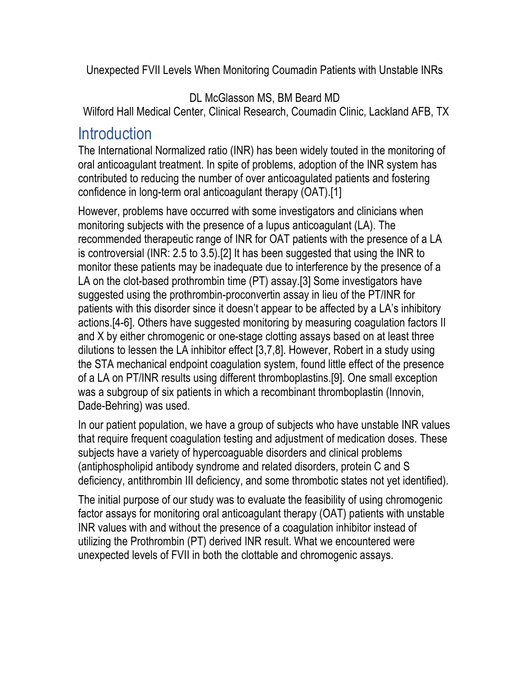Unexpected FVII Levels When Monitoring Coumadin Patients with Unstable INRs

DL McGlasson MS, BM Beard MD

Wilford Hall Medical Center, Clinical Research, Coumadin Clinic, Lackland AFB, TX

#### **Introduction**

The International Normalized ratio (INR) has been widely touted in the monitoring of oral anticoagulant treatment. In spite of problems, adoption of the INR system has contributed to reducing the number of over anticoagulated patients and fostering confidence in long-term oral anticoagulant therapy (OAT).[1]

However, problems have occurred with some investigators and clinicians when monitoring subjects with the presence of a lupus anticoagulant (LA). The recommended therapeutic range of INR for OAT patients with the presence of a LA is controversial (INR: 2.5 to 3.5).[2] It has been suggested that using the INR to monitor these patients may be inadequate due to interference by the presence of a LA on the clot-based prothrombin time (PT) assay.[3] Some investigators have suggested using the prothrombin-proconvertin assay in lieu of the PT/INR for patients with this disorder since it doesn't appear to be affected by a LA's inhibitory actions.[4-6]. Others have suggested monitoring by measuring coagulation factors II and X by either chromogenic or one-stage clotting assays based on at least three dilutions to lessen the LA inhibitor effect [3,7,8]. However, Robert in a study using the STA mechanical endpoint coagulation system, found little effect of the presence of a LA on PT/INR results using different thromboplastins.[9]. One small exception was a subgroup of six patients in which a recombinant thromboplastin (Innovin, Dade-Behring) was used.

In our patient population, we have a group of subjects who have unstable INR values that require frequent coagulation testing and adjustment of medication doses. These subjects have a variety of hypercoaguable disorders and clinical problems (antiphospholipid antibody syndrome and related disorders, protein C and S deficiency, antithrombin III deficiency, and some thrombotic states not yet identified).

The initial purpose of our study was to evaluate the feasibility of using chromogenic factor assays for monitoring oral anticoagulant therapy (OAT) patients with unstable INR values with and without the presence of a coagulation inhibitor instead of utilizing the Prothrombin (PT) derived INR result. What we encountered were unexpected levels of FVII in both the clottable and chromogenic assays.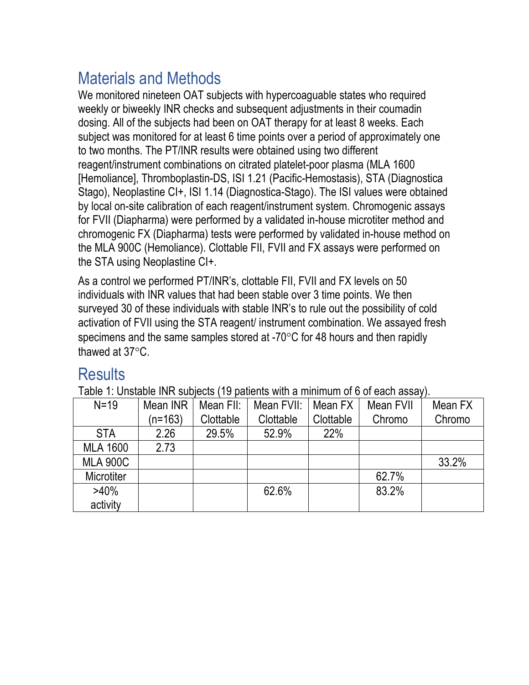# Materials and Methods

We monitored nineteen OAT subjects with hypercoaguable states who required weekly or biweekly INR checks and subsequent adjustments in their coumadin dosing. All of the subjects had been on OAT therapy for at least 8 weeks. Each subject was monitored for at least 6 time points over a period of approximately one to two months. The PT/INR results were obtained using two different reagent/instrument combinations on citrated platelet-poor plasma (MLA 1600 [Hemoliance], Thromboplastin-DS, ISI 1.21 (Pacific-Hemostasis), STA (Diagnostica Stago), Neoplastine CI+, ISI 1.14 (Diagnostica-Stago). The ISI values were obtained by local on-site calibration of each reagent/instrument system. Chromogenic assays for FVII (Diapharma) were performed by a validated in-house microtiter method and chromogenic FX (Diapharma) tests were performed by validated in-house method on the MLA 900C (Hemoliance). Clottable FII, FVII and FX assays were performed on the STA using Neoplastine CI+.

As a control we performed PT/INR's, clottable FII, FVII and FX levels on 50 individuals with INR values that had been stable over 3 time points. We then surveyed 30 of these individuals with stable INR's to rule out the possibility of cold activation of FVII using the STA reagent/ instrument combination. We assayed fresh specimens and the same samples stored at -70°C for 48 hours and then rapidly thawed at 37°C.

## **Results**

Table 1: Unstable INR subjects (19 patients with a minimum of 6 of each assay).

| $N=19$            | Mean INR  | Mean FII: | Mean FVII: | Mean FX    | Mean FVII | Mean FX |
|-------------------|-----------|-----------|------------|------------|-----------|---------|
|                   | $(n=163)$ | Clottable | Clottable  | Clottable  | Chromo    | Chromo  |
| <b>STA</b>        | 2.26      | 29.5%     | 52.9%      | <b>22%</b> |           |         |
| <b>MLA 1600</b>   | 2.73      |           |            |            |           |         |
| <b>MLA 900C</b>   |           |           |            |            |           | 33.2%   |
| <b>Microtiter</b> |           |           |            |            | 62.7%     |         |
| $>40\%$           |           |           | 62.6%      |            | 83.2%     |         |
| activity          |           |           |            |            |           |         |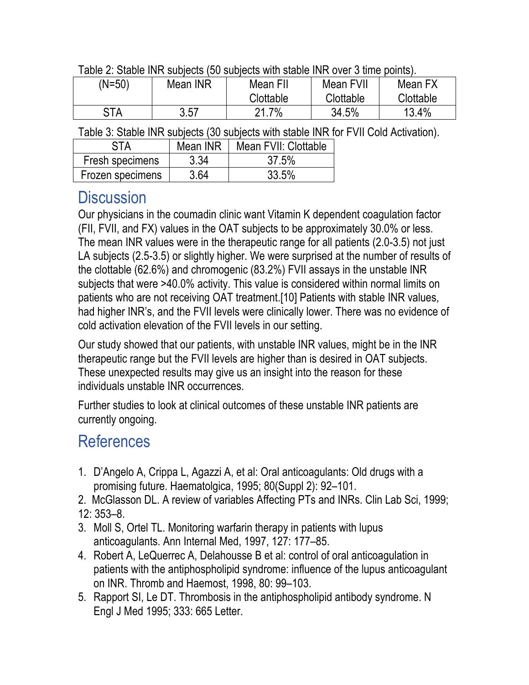| Table 2: Stable INR subjects (50 subjects with stable INR over 3 time points). |  |  |  |  |
|--------------------------------------------------------------------------------|--|--|--|--|
|                                                                                |  |  |  |  |

| (N=50)     | Mean INR | Mean FII<br>Clottable | Mean FVII<br>Clottable | Mean FX<br>Clottable |
|------------|----------|-----------------------|------------------------|----------------------|
| <b>STA</b> | 3.57     | $.7\%$<br>21          | 34.5%                  | 13.4%                |

Table 3: Stable INR subjects (30 subjects with stable INR for FVII Cold Activation).

| STA              | Mean INR | Mean FVII: Clottable |  |  |
|------------------|----------|----------------------|--|--|
| Fresh specimens  | 3.34     | 37.5%                |  |  |
| Frozen specimens | 3.64     | 33.5%                |  |  |

#### **Discussion**

Our physicians in the coumadin clinic want Vitamin K dependent coagulation factor (FII, FVII, and FX) values in the OAT subjects to be approximately 30.0% or less. The mean INR values were in the therapeutic range for all patients (2.0-3.5) not just LA subjects (2.5-3.5) or slightly higher. We were surprised at the number of results of the clottable (62.6%) and chromogenic (83.2%) FVII assays in the unstable INR subjects that were >40.0% activity. This value is considered within normal limits on patients who are not receiving OAT treatment.[10] Patients with stable INR values, had higher INR's, and the FVII levels were clinically lower. There was no evidence of cold activation elevation of the FVII levels in our setting.

Our study showed that our patients, with unstable INR values, might be in the INR therapeutic range but the FVII levels are higher than is desired in OAT subjects. These unexpected results may give us an insight into the reason for these individuals unstable INR occurrences.

Further studies to look at clinical outcomes of these unstable INR patients are currently ongoing.

## References

- 1. D'Angelo A, Crippa L, Agazzi A, et al: Oral anticoagulants: Old drugs with a promising future. Haematolgica, 1995; 80(Suppl 2): 92–101.
- 2. McGlasson DL. A review of variables Affecting PTs and INRs. Clin Lab Sci, 1999; 12: 353–8.
- 3. Moll S, Ortel TL. Monitoring warfarin therapy in patients with lupus anticoagulants. Ann Internal Med, 1997, 127: 177–85.
- 4. Robert A, LeQuerrec A, Delahousse B et al: control of oral anticoagulation in patients with the antiphospholipid syndrome: influence of the lupus anticoagulant on INR. Thromb and Haemost, 1998, 80: 99–103.
- 5. Rapport SI, Le DT. Thrombosis in the antiphospholipid antibody syndrome. N Engl J Med 1995; 333: 665 Letter.